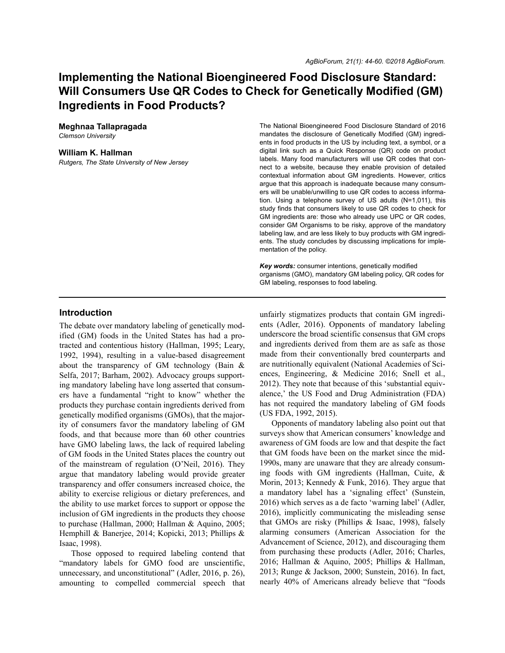# **Implementing the National Bioengineered Food Disclosure Standard: Will Consumers Use QR Codes to Check for Genetically Modified (GM) Ingredients in Food Products?**

# **Meghnaa Tallapragada**

*Clemson University*

#### **William K. Hallman**

*Rutgers, The State University of New Jersey*

The National Bioengineered Food Disclosure Standard of 2016 mandates the disclosure of Genetically Modified (GM) ingredients in food products in the US by including text, a symbol, or a digital link such as a Quick Response (QR) code on product labels. Many food manufacturers will use QR codes that connect to a website, because they enable provision of detailed contextual information about GM ingredients. However, critics argue that this approach is inadequate because many consumers will be unable/unwilling to use QR codes to access information. Using a telephone survey of US adults (N=1,011), this study finds that consumers likely to use QR codes to check for GM ingredients are: those who already use UPC or QR codes, consider GM Organisms to be risky, approve of the mandatory labeling law, and are less likely to buy products with GM ingredients. The study concludes by discussing implications for implementation of the policy.

*Key words:* consumer intentions, genetically modified organisms (GMO), mandatory GM labeling policy, QR codes for GM labeling, responses to food labeling.

## **Introduction**

The debate over mandatory labeling of genetically modified (GM) foods in the United States has had a protracted and contentious history (Hallman, 1995; Leary, 1992, 1994), resulting in a value-based disagreement about the transparency of GM technology (Bain & Selfa, 2017; Barham, 2002). Advocacy groups supporting mandatory labeling have long asserted that consumers have a fundamental "right to know" whether the products they purchase contain ingredients derived from genetically modified organisms (GMOs), that the majority of consumers favor the mandatory labeling of GM foods, and that because more than 60 other countries have GMO labeling laws, the lack of required labeling of GM foods in the United States places the country out of the mainstream of regulation (O'Neil, 2016). They argue that mandatory labeling would provide greater transparency and offer consumers increased choice, the ability to exercise religious or dietary preferences, and the ability to use market forces to support or oppose the inclusion of GM ingredients in the products they choose to purchase (Hallman, 2000; Hallman & Aquino, 2005; Hemphill & Banerjee, 2014; Kopicki, 2013; Phillips & Isaac, 1998).

Those opposed to required labeling contend that "mandatory labels for GMO food are unscientific, unnecessary, and unconstitutional" (Adler, 2016, p. 26), amounting to compelled commercial speech that unfairly stigmatizes products that contain GM ingredients (Adler, 2016). Opponents of mandatory labeling underscore the broad scientific consensus that GM crops and ingredients derived from them are as safe as those made from their conventionally bred counterparts and are nutritionally equivalent (National Academies of Sciences, Engineering, & Medicine 2016; Snell et al., 2012). They note that because of this 'substantial equivalence,' the US Food and Drug Administration (FDA) has not required the mandatory labeling of GM foods (US FDA, 1992, 2015).

Opponents of mandatory labeling also point out that surveys show that American consumers' knowledge and awareness of GM foods are low and that despite the fact that GM foods have been on the market since the mid-1990s, many are unaware that they are already consuming foods with GM ingredients (Hallman, Cuite, & Morin, 2013; Kennedy & Funk, 2016). They argue that a mandatory label has a 'signaling effect' (Sunstein, 2016) which serves as a de facto 'warning label' (Adler, 2016), implicitly communicating the misleading sense that GMOs are risky (Phillips & Isaac, 1998), falsely alarming consumers (American Association for the Advancement of Science, 2012), and discouraging them from purchasing these products (Adler, 2016; Charles, 2016; Hallman & Aquino, 2005; Phillips & Hallman, 2013; Runge & Jackson, 2000; Sunstein, 2016). In fact, nearly 40% of Americans already believe that "foods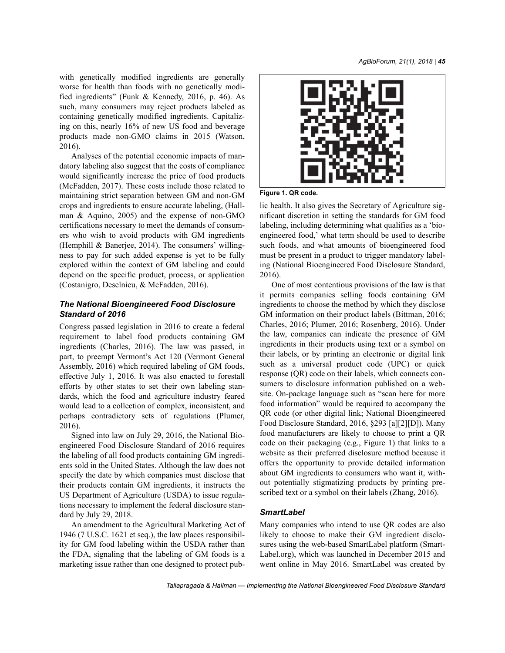with genetically modified ingredients are generally worse for health than foods with no genetically modified ingredients" (Funk & Kennedy, 2016, p. 46). As such, many consumers may reject products labeled as containing genetically modified ingredients. Capitalizing on this, nearly 16% of new US food and beverage products made non-GMO claims in 2015 (Watson, 2016).

Analyses of the potential economic impacts of mandatory labeling also suggest that the costs of compliance would significantly increase the price of food products (McFadden, 2017). These costs include those related to maintaining strict separation between GM and non-GM crops and ingredients to ensure accurate labeling, (Hallman & Aquino, 2005) and the expense of non-GMO certifications necessary to meet the demands of consumers who wish to avoid products with GM ingredients (Hemphill & Banerjee, 2014). The consumers' willingness to pay for such added expense is yet to be fully explored within the context of GM labeling and could depend on the specific product, process, or application (Costanigro, Deselnicu, & McFadden, 2016).

# *The National Bioengineered Food Disclosure Standard of 2016*

Congress passed legislation in 2016 to create a federal requirement to label food products containing GM ingredients (Charles, 2016). The law was passed, in part, to preempt Vermont's Act 120 (Vermont General Assembly, 2016) which required labeling of GM foods, effective July 1, 2016. It was also enacted to forestall efforts by other states to set their own labeling standards, which the food and agriculture industry feared would lead to a collection of complex, inconsistent, and perhaps contradictory sets of regulations (Plumer, 2016).

Signed into law on July 29, 2016, the National Bioengineered Food Disclosure Standard of 2016 requires the labeling of all food products containing GM ingredients sold in the United States. Although the law does not specify the date by which companies must disclose that their products contain GM ingredients, it instructs the US Department of Agriculture (USDA) to issue regulations necessary to implement the federal disclosure standard by July 29, 2018.

An amendment to the Agricultural Marketing Act of 1946 (7 U.S.C. 1621 et seq.), the law places responsibility for GM food labeling within the USDA rather than the FDA, signaling that the labeling of GM foods is a marketing issue rather than one designed to protect pub-



**Figure 1. QR code.**

lic health. It also gives the Secretary of Agriculture significant discretion in setting the standards for GM food labeling, including determining what qualifies as a 'bioengineered food,' what term should be used to describe such foods, and what amounts of bioengineered food must be present in a product to trigger mandatory labeling (National Bioengineered Food Disclosure Standard, 2016).

One of most contentious provisions of the law is that it permits companies selling foods containing GM ingredients to choose the method by which they disclose GM information on their product labels (Bittman, 2016; Charles, 2016; Plumer, 2016; Rosenberg, 2016). Under the law, companies can indicate the presence of GM ingredients in their products using text or a symbol on their labels, or by printing an electronic or digital link such as a universal product code (UPC) or quick response (QR) code on their labels, which connects consumers to disclosure information published on a website. On-package language such as "scan here for more food information" would be required to accompany the QR code (or other digital link; National Bioengineered Food Disclosure Standard, 2016, §293 [a][2][D]). Many food manufacturers are likely to choose to print a QR code on their packaging (e.g., Figure 1) that links to a website as their preferred disclosure method because it offers the opportunity to provide detailed information about GM ingredients to consumers who want it, without potentially stigmatizing products by printing prescribed text or a symbol on their labels (Zhang, 2016).

# *SmartLabel*

Many companies who intend to use QR codes are also likely to choose to make their GM ingredient disclosures using the web-based SmartLabel platform (Smart-Label.org), which was launched in December 2015 and went online in May 2016. SmartLabel was created by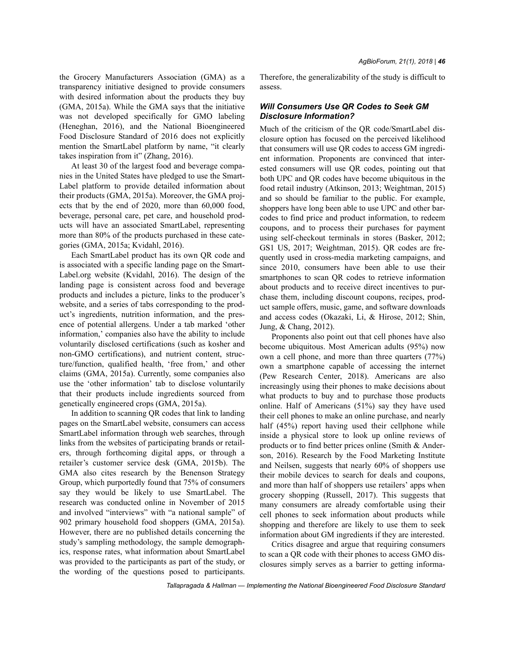the Grocery Manufacturers Association (GMA) as a transparency initiative designed to provide consumers with desired information about the products they buy (GMA, 2015a). While the GMA says that the initiative was not developed specifically for GMO labeling (Heneghan, 2016), and the National Bioengineered Food Disclosure Standard of 2016 does not explicitly mention the SmartLabel platform by name, "it clearly takes inspiration from it" (Zhang, 2016).

At least 30 of the largest food and beverage companies in the United States have pledged to use the Smart-Label platform to provide detailed information about their products (GMA, 2015a). Moreover, the GMA projects that by the end of 2020, more than 60,000 food, beverage, personal care, pet care, and household products will have an associated SmartLabel, representing more than 80% of the products purchased in these categories (GMA, 2015a; Kvidahl, 2016).

Each SmartLabel product has its own QR code and is associated with a specific landing page on the Smart-Label.org website (Kvidahl, 2016). The design of the landing page is consistent across food and beverage products and includes a picture, links to the producer's website, and a series of tabs corresponding to the product's ingredients, nutrition information, and the presence of potential allergens. Under a tab marked 'other information,' companies also have the ability to include voluntarily disclosed certifications (such as kosher and non-GMO certifications), and nutrient content, structure/function, qualified health, 'free from,' and other claims (GMA, 2015a). Currently, some companies also use the 'other information' tab to disclose voluntarily that their products include ingredients sourced from genetically engineered crops (GMA, 2015a).

In addition to scanning QR codes that link to landing pages on the SmartLabel website, consumers can access SmartLabel information through web searches, through links from the websites of participating brands or retailers, through forthcoming digital apps, or through a retailer's customer service desk (GMA, 2015b). The GMA also cites research by the Benenson Strategy Group, which purportedly found that 75% of consumers say they would be likely to use SmartLabel. The research was conducted online in November of 2015 and involved "interviews" with "a national sample" of 902 primary household food shoppers (GMA, 2015a). However, there are no published details concerning the study's sampling methodology, the sample demographics, response rates, what information about SmartLabel was provided to the participants as part of the study, or the wording of the questions posed to participants.

Therefore, the generalizability of the study is difficult to assess.

## *Will Consumers Use QR Codes to Seek GM Disclosure Information?*

Much of the criticism of the QR code/SmartLabel disclosure option has focused on the perceived likelihood that consumers will use QR codes to access GM ingredient information. Proponents are convinced that interested consumers will use QR codes, pointing out that both UPC and QR codes have become ubiquitous in the food retail industry (Atkinson, 2013; Weightman, 2015) and so should be familiar to the public. For example, shoppers have long been able to use UPC and other barcodes to find price and product information, to redeem coupons, and to process their purchases for payment using self-checkout terminals in stores (Basker, 2012; GS1 US, 2017; Weightman, 2015). QR codes are frequently used in cross-media marketing campaigns, and since 2010, consumers have been able to use their smartphones to scan QR codes to retrieve information about products and to receive direct incentives to purchase them, including discount coupons, recipes, product sample offers, music, game, and software downloads and access codes (Okazaki, Li, & Hirose, 2012; Shin, Jung, & Chang, 2012).

Proponents also point out that cell phones have also become ubiquitous. Most American adults (95%) now own a cell phone, and more than three quarters (77%) own a smartphone capable of accessing the internet (Pew Research Center, 2018). Americans are also increasingly using their phones to make decisions about what products to buy and to purchase those products online. Half of Americans (51%) say they have used their cell phones to make an online purchase, and nearly half (45%) report having used their cellphone while inside a physical store to look up online reviews of products or to find better prices online (Smith & Anderson, 2016). Research by the Food Marketing Institute and Neilsen, suggests that nearly 60% of shoppers use their mobile devices to search for deals and coupons, and more than half of shoppers use retailers' apps when grocery shopping (Russell, 2017). This suggests that many consumers are already comfortable using their cell phones to seek information about products while shopping and therefore are likely to use them to seek information about GM ingredients if they are interested.

Critics disagree and argue that requiring consumers to scan a QR code with their phones to access GMO disclosures simply serves as a barrier to getting informa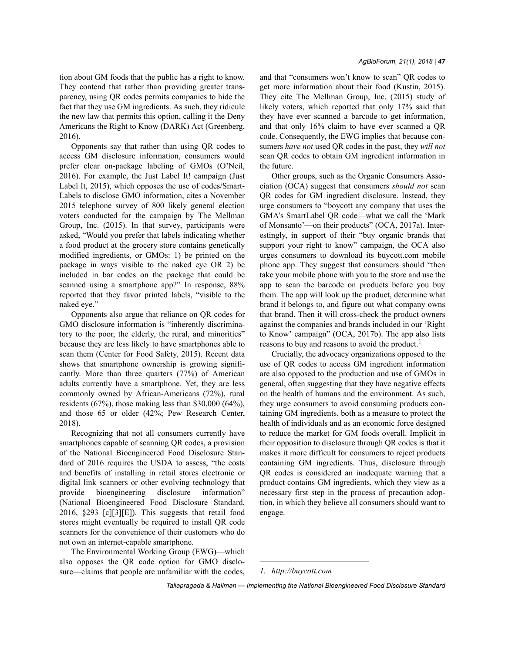tion about GM foods that the public has a right to know. They contend that rather than providing greater transparency, using QR codes permits companies to hide the fact that they use GM ingredients. As such, they ridicule the new law that permits this option, calling it the Deny Americans the Right to Know (DARK) Act (Greenberg, 2016).

Opponents say that rather than using QR codes to access GM disclosure information, consumers would prefer clear on-package labeling of GMOs (O'Neil, 2016). For example, the Just Label It! campaign (Just Label It, 2015), which opposes the use of codes/Smart-Labels to disclose GMO information, cites a November 2015 telephone survey of 800 likely general election voters conducted for the campaign by The Mellman Group, Inc. (2015). In that survey, participants were asked, "Would you prefer that labels indicating whether a food product at the grocery store contains genetically modified ingredients, or GMOs: 1) be printed on the package in ways visible to the naked eye OR 2) be included in bar codes on the package that could be scanned using a smartphone app?" In response, 88% reported that they favor printed labels, "visible to the naked eye."

Opponents also argue that reliance on QR codes for GMO disclosure information is "inherently discriminatory to the poor, the elderly, the rural, and minorities" because they are less likely to have smartphones able to scan them (Center for Food Safety, 2015). Recent data shows that smartphone ownership is growing significantly. More than three quarters (77%) of American adults currently have a smartphone. Yet, they are less commonly owned by African-Americans (72%), rural residents (67%), those making less than \$30,000 (64%), and those 65 or older (42%; Pew Research Center, 2018).

Recognizing that not all consumers currently have smartphones capable of scanning QR codes, a provision of the National Bioengineered Food Disclosure Standard of 2016 requires the USDA to assess, "the costs and benefits of installing in retail stores electronic or digital link scanners or other evolving technology that provide bioengineering disclosure information" (National Bioengineered Food Disclosure Standard, 2016, §293 [c][3][E]). This suggests that retail food stores might eventually be required to install QR code scanners for the convenience of their customers who do not own an internet-capable smartphone.

The Environmental Working Group (EWG)—which also opposes the QR code option for GMO disclosure—claims that people are unfamiliar with the codes, and that "consumers won't know to scan" QR codes to get more information about their food (Kustin, 2015). They cite The Mellman Group, Inc. (2015) study of likely voters, which reported that only 17% said that they have ever scanned a barcode to get information, and that only 16% claim to have ever scanned a QR code. Consequently, the EWG implies that because consumers *have not* used QR codes in the past, they *will not* scan QR codes to obtain GM ingredient information in the future.

Other groups, such as the Organic Consumers Association (OCA) suggest that consumers *should not* scan QR codes for GM ingredient disclosure. Instead, they urge consumers to "boycott any company that uses the GMA's SmartLabel QR code—what we call the 'Mark of Monsanto'—on their products" (OCA, 2017a). Interestingly, in support of their "buy organic brands that support your right to know" campaign, the OCA also urges consumers to download its buycott.com mobile phone app. They suggest that consumers should "then take your mobile phone with you to the store and use the app to scan the barcode on products before you buy them. The app will look up the product, determine what brand it belongs to, and figure out what company owns that brand. Then it will cross-check the product owners against the companies and brands included in our 'Right to Know' campaign" (OCA, 2017b). The app also lists reasons to buy and reasons to avoid the product.<sup>1</sup>

Crucially, the advocacy organizations opposed to the use of QR codes to access GM ingredient information are also opposed to the production and use of GMOs in general, often suggesting that they have negative effects on the health of humans and the environment. As such, they urge consumers to avoid consuming products containing GM ingredients, both as a measure to protect the health of individuals and as an economic force designed to reduce the market for GM foods overall. Implicit in their opposition to disclosure through QR codes is that it makes it more difficult for consumers to reject products containing GM ingredients. Thus, disclosure through QR codes is considered an inadequate warning that a product contains GM ingredients, which they view as a necessary first step in the process of precaution adoption, in which they believe all consumers should want to engage.

*<sup>1.</sup> http://buycott.com*

*Tallapragada & Hallman — Implementing the National Bioengineered Food Disclosure Standard*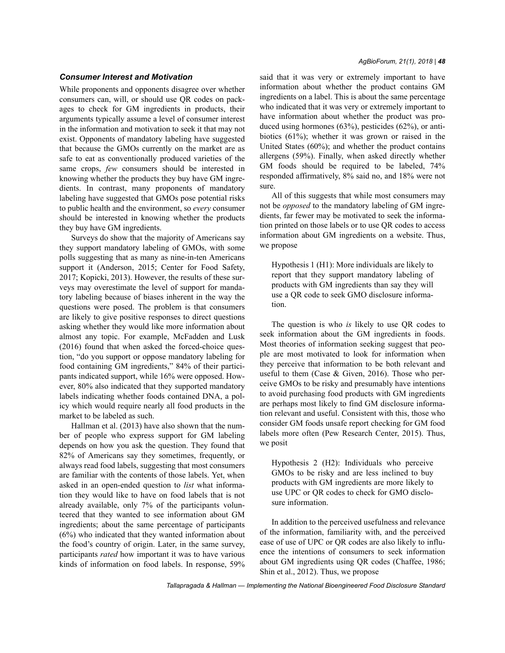## *Consumer Interest and Motivation*

While proponents and opponents disagree over whether consumers can, will, or should use QR codes on packages to check for GM ingredients in products, their arguments typically assume a level of consumer interest in the information and motivation to seek it that may not exist. Opponents of mandatory labeling have suggested that because the GMOs currently on the market are as safe to eat as conventionally produced varieties of the same crops, *few* consumers should be interested in knowing whether the products they buy have GM ingredients. In contrast, many proponents of mandatory labeling have suggested that GMOs pose potential risks to public health and the environment, so *every* consumer should be interested in knowing whether the products they buy have GM ingredients.

Surveys do show that the majority of Americans say they support mandatory labeling of GMOs, with some polls suggesting that as many as nine-in-ten Americans support it (Anderson, 2015; Center for Food Safety, 2017; Kopicki, 2013). However, the results of these surveys may overestimate the level of support for mandatory labeling because of biases inherent in the way the questions were posed. The problem is that consumers are likely to give positive responses to direct questions asking whether they would like more information about almost any topic. For example, McFadden and Lusk (2016) found that when asked the forced-choice question, "do you support or oppose mandatory labeling for food containing GM ingredients," 84% of their participants indicated support, while 16% were opposed. However, 80% also indicated that they supported mandatory labels indicating whether foods contained DNA, a policy which would require nearly all food products in the market to be labeled as such.

Hallman et al. (2013) have also shown that the number of people who express support for GM labeling depends on how you ask the question. They found that 82% of Americans say they sometimes, frequently, or always read food labels, suggesting that most consumers are familiar with the contents of those labels. Yet, when asked in an open-ended question to *list* what information they would like to have on food labels that is not already available, only 7% of the participants volunteered that they wanted to see information about GM ingredients; about the same percentage of participants (6%) who indicated that they wanted information about the food's country of origin. Later, in the same survey, participants *rated* how important it was to have various kinds of information on food labels. In response, 59% said that it was very or extremely important to have information about whether the product contains GM ingredients on a label. This is about the same percentage who indicated that it was very or extremely important to have information about whether the product was produced using hormones (63%), pesticides (62%), or antibiotics (61%); whether it was grown or raised in the United States (60%); and whether the product contains allergens (59%). Finally, when asked directly whether GM foods should be required to be labeled, 74% responded affirmatively, 8% said no, and 18% were not sure.

All of this suggests that while most consumers may not be *opposed* to the mandatory labeling of GM ingredients, far fewer may be motivated to seek the information printed on those labels or to use QR codes to access information about GM ingredients on a website. Thus, we propose

Hypothesis 1 (H1): More individuals are likely to report that they support mandatory labeling of products with GM ingredients than say they will use a QR code to seek GMO disclosure information.

The question is who *is* likely to use QR codes to seek information about the GM ingredients in foods. Most theories of information seeking suggest that people are most motivated to look for information when they perceive that information to be both relevant and useful to them (Case & Given, 2016). Those who perceive GMOs to be risky and presumably have intentions to avoid purchasing food products with GM ingredients are perhaps most likely to find GM disclosure information relevant and useful. Consistent with this, those who consider GM foods unsafe report checking for GM food labels more often (Pew Research Center, 2015). Thus, we posit

Hypothesis 2 (H2): Individuals who perceive GMOs to be risky and are less inclined to buy products with GM ingredients are more likely to use UPC or QR codes to check for GMO disclosure information.

In addition to the perceived usefulness and relevance of the information, familiarity with, and the perceived ease of use of UPC or QR codes are also likely to influence the intentions of consumers to seek information about GM ingredients using QR codes (Chaffee, 1986; Shin et al., 2012). Thus, we propose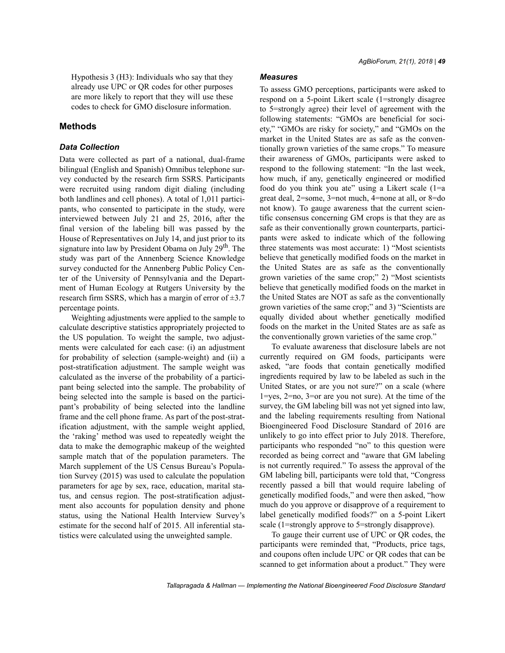Hypothesis 3 (H3): Individuals who say that they already use UPC or QR codes for other purposes are more likely to report that they will use these codes to check for GMO disclosure information.

# **Methods**

## *Data Collection*

Data were collected as part of a national, dual-frame bilingual (English and Spanish) Omnibus telephone survey conducted by the research firm SSRS. Participants were recruited using random digit dialing (including both landlines and cell phones). A total of 1,011 participants, who consented to participate in the study, were interviewed between July 21 and 25, 2016, after the final version of the labeling bill was passed by the House of Representatives on July 14, and just prior to its signature into law by President Obama on July 29<sup>th</sup>. The study was part of the Annenberg Science Knowledge survey conducted for the Annenberg Public Policy Center of the University of Pennsylvania and the Department of Human Ecology at Rutgers University by the research firm SSRS, which has a margin of error of  $\pm 3.7$ percentage points.

Weighting adjustments were applied to the sample to calculate descriptive statistics appropriately projected to the US population. To weight the sample, two adjustments were calculated for each case: (i) an adjustment for probability of selection (sample-weight) and (ii) a post-stratification adjustment. The sample weight was calculated as the inverse of the probability of a participant being selected into the sample. The probability of being selected into the sample is based on the participant's probability of being selected into the landline frame and the cell phone frame. As part of the post-stratification adjustment, with the sample weight applied, the 'raking' method was used to repeatedly weight the data to make the demographic makeup of the weighted sample match that of the population parameters. The March supplement of the US Census Bureau's Population Survey (2015) was used to calculate the population parameters for age by sex, race, education, marital status, and census region. The post-stratification adjustment also accounts for population density and phone status, using the National Health Interview Survey's estimate for the second half of 2015. All inferential statistics were calculated using the unweighted sample.

## *Measures*

To assess GMO perceptions, participants were asked to respond on a 5-point Likert scale (1=strongly disagree to 5=strongly agree) their level of agreement with the following statements: "GMOs are beneficial for society," "GMOs are risky for society," and "GMOs on the market in the United States are as safe as the conventionally grown varieties of the same crops." To measure their awareness of GMOs, participants were asked to respond to the following statement: "In the last week, how much, if any, genetically engineered or modified food do you think you ate" using a Likert scale (1=a great deal, 2=some, 3=not much, 4=none at all, or 8=do not know). To gauge awareness that the current scientific consensus concerning GM crops is that they are as safe as their conventionally grown counterparts, participants were asked to indicate which of the following three statements was most accurate: 1) "Most scientists believe that genetically modified foods on the market in the United States are as safe as the conventionally grown varieties of the same crop;" 2) "Most scientists believe that genetically modified foods on the market in the United States are NOT as safe as the conventionally grown varieties of the same crop;" and 3) "Scientists are equally divided about whether genetically modified foods on the market in the United States are as safe as the conventionally grown varieties of the same crop."

To evaluate awareness that disclosure labels are not currently required on GM foods, participants were asked, "are foods that contain genetically modified ingredients required by law to be labeled as such in the United States, or are you not sure?" on a scale (where 1=yes, 2=no, 3=or are you not sure). At the time of the survey, the GM labeling bill was not yet signed into law, and the labeling requirements resulting from National Bioengineered Food Disclosure Standard of 2016 are unlikely to go into effect prior to July 2018. Therefore, participants who responded "no" to this question were recorded as being correct and "aware that GM labeling is not currently required." To assess the approval of the GM labeling bill, participants were told that, "Congress recently passed a bill that would require labeling of genetically modified foods," and were then asked, "how much do you approve or disapprove of a requirement to label genetically modified foods?" on a 5-point Likert scale (1=strongly approve to 5=strongly disapprove).

To gauge their current use of UPC or QR codes, the participants were reminded that, "Products, price tags, and coupons often include UPC or QR codes that can be scanned to get information about a product." They were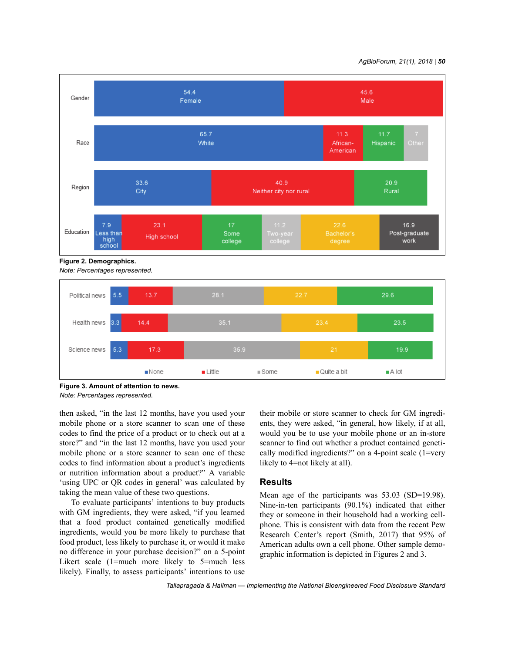#### *AgBioForum, 21(1), 2018 | 50*



**Figure 2. Demographics.** *Note: Percentages represented.*



**Figure 3. Amount of attention to news.**

*Note: Percentages represented.*

then asked, "in the last 12 months, have you used your mobile phone or a store scanner to scan one of these codes to find the price of a product or to check out at a store?" and "in the last 12 months, have you used your mobile phone or a store scanner to scan one of these codes to find information about a product's ingredients or nutrition information about a product?" A variable 'using UPC or QR codes in general' was calculated by taking the mean value of these two questions.

To evaluate participants' intentions to buy products with GM ingredients, they were asked, "if you learned that a food product contained genetically modified ingredients, would you be more likely to purchase that food product, less likely to purchase it, or would it make no difference in your purchase decision?" on a 5-point Likert scale (1=much more likely to 5=much less likely). Finally, to assess participants' intentions to use their mobile or store scanner to check for GM ingredients, they were asked, "in general, how likely, if at all, would you be to use your mobile phone or an in-store scanner to find out whether a product contained genetically modified ingredients?" on a 4-point scale (1=very likely to 4=not likely at all).

## **Results**

Mean age of the participants was 53.03 (SD=19.98). Nine-in-ten participants (90.1%) indicated that either they or someone in their household had a working cellphone. This is consistent with data from the recent Pew Research Center's report (Smith, 2017) that 95% of American adults own a cell phone. Other sample demographic information is depicted in Figures 2 and 3.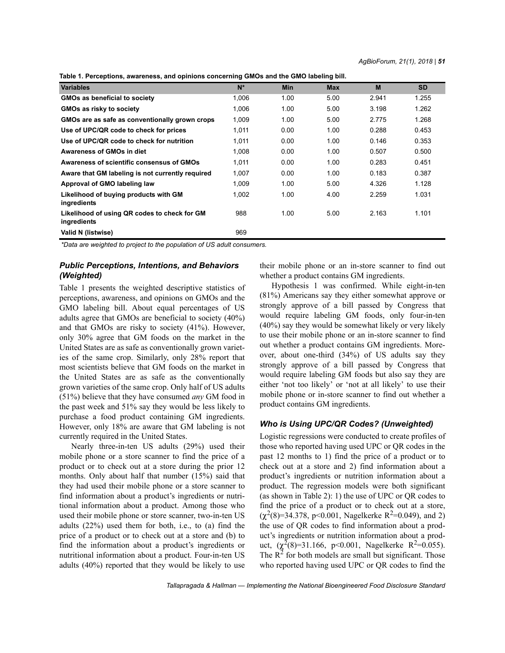| Table 1. Perceptions, awareness, and opinions concerning GMOs and the GMO labeling bill. |
|------------------------------------------------------------------------------------------|
|------------------------------------------------------------------------------------------|

| יישטוס ווי די סומט אוסטוס, מאמרטווטטט, מוומ טפווווטווט טטווטטווווואַן שוווטט מוומ מוט שוווט ומאטווואָן אווו. |       |            |            |       |           |
|--------------------------------------------------------------------------------------------------------------|-------|------------|------------|-------|-----------|
| <b>Variables</b>                                                                                             | $N^*$ | <b>Min</b> | <b>Max</b> | M     | <b>SD</b> |
| <b>GMOs as beneficial to society</b>                                                                         | 1.006 | 1.00       | 5.00       | 2.941 | 1.255     |
| GMOs as risky to society                                                                                     | 1.006 | 1.00       | 5.00       | 3.198 | 1.262     |
| GMOs are as safe as conventionally grown crops                                                               | 1,009 | 1.00       | 5.00       | 2.775 | 1.268     |
| Use of UPC/QR code to check for prices                                                                       | 1.011 | 0.00       | 1.00       | 0.288 | 0.453     |
| Use of UPC/QR code to check for nutrition                                                                    | 1.011 | 0.00       | 1.00       | 0.146 | 0.353     |
| Awareness of GMOs in diet                                                                                    | 1.008 | 0.00       | 1.00       | 0.507 | 0.500     |
| Awareness of scientific consensus of GMOs                                                                    | 1.011 | 0.00       | 1.00       | 0.283 | 0.451     |
| Aware that GM labeling is not currently required                                                             | 1.007 | 0.00       | 1.00       | 0.183 | 0.387     |
| Approval of GMO labeling law                                                                                 | 1,009 | 1.00       | 5.00       | 4.326 | 1.128     |
| Likelihood of buying products with GM<br>ingredients                                                         | 1.002 | 1.00       | 4.00       | 2.259 | 1.031     |
| Likelihood of using QR codes to check for GM<br>ingredients                                                  | 988   | 1.00       | 5.00       | 2.163 | 1.101     |
| Valid N (listwise)                                                                                           | 969   |            |            |       |           |

*\*Data are weighted to project to the population of US adult consumers.*

## *Public Perceptions, Intentions, and Behaviors (Weighted)*

Table 1 presents the weighted descriptive statistics of perceptions, awareness, and opinions on GMOs and the GMO labeling bill. About equal percentages of US adults agree that GMOs are beneficial to society (40%) and that GMOs are risky to society (41%). However, only 30% agree that GM foods on the market in the United States are as safe as conventionally grown varieties of the same crop. Similarly, only 28% report that most scientists believe that GM foods on the market in the United States are as safe as the conventionally grown varieties of the same crop. Only half of US adults (51%) believe that they have consumed *any* GM food in the past week and 51% say they would be less likely to purchase a food product containing GM ingredients. However, only 18% are aware that GM labeling is not currently required in the United States.

Nearly three-in-ten US adults (29%) used their mobile phone or a store scanner to find the price of a product or to check out at a store during the prior 12 months. Only about half that number (15%) said that they had used their mobile phone or a store scanner to find information about a product's ingredients or nutritional information about a product. Among those who used their mobile phone or store scanner, two-in-ten US adults (22%) used them for both, i.e., to (a) find the price of a product or to check out at a store and (b) to find the information about a product's ingredients or nutritional information about a product. Four-in-ten US adults (40%) reported that they would be likely to use their mobile phone or an in-store scanner to find out whether a product contains GM ingredients.

Hypothesis 1 was confirmed. While eight-in-ten (81%) Americans say they either somewhat approve or strongly approve of a bill passed by Congress that would require labeling GM foods, only four-in-ten (40%) say they would be somewhat likely or very likely to use their mobile phone or an in-store scanner to find out whether a product contains GM ingredients. Moreover, about one-third (34%) of US adults say they strongly approve of a bill passed by Congress that would require labeling GM foods but also say they are either 'not too likely' or 'not at all likely' to use their mobile phone or in-store scanner to find out whether a product contains GM ingredients.

## *Who is Using UPC/QR Codes? (Unweighted)*

Logistic regressions were conducted to create profiles of those who reported having used UPC or QR codes in the past 12 months to 1) find the price of a product or to check out at a store and 2) find information about a product's ingredients or nutrition information about a product. The regression models were both significant (as shown in Table 2): 1) the use of UPC or QR codes to find the price of a product or to check out at a store,  $(\chi^2(8)=34.378, p<0.001,$  Nagelkerke R<sup>2</sup>=0.049), and 2) the use of QR codes to find information about a product's ingredients or nutrition information about a product,  $(\chi^2(8)=31.166, p<0.001, \text{ Nagelkerke } R^2=0.055).$ The  $\mathbb{R}^2$  for both models are small but significant. Those who reported having used UPC or QR codes to find the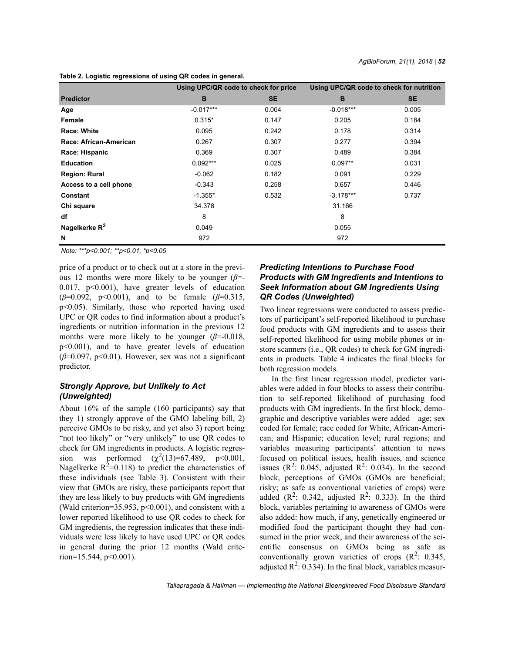|                        | Using UPC/QR code to check for price |           | Using UPC/QR code to check for nutrition |           |
|------------------------|--------------------------------------|-----------|------------------------------------------|-----------|
| <b>Predictor</b>       | B                                    | <b>SE</b> | B                                        | <b>SE</b> |
| Age                    | $-0.017***$                          | 0.004     | $-0.018***$                              | 0.005     |
| Female                 | $0.315*$                             | 0.147     | 0.205                                    | 0.184     |
| <b>Race: White</b>     | 0.095                                | 0.242     | 0.178                                    | 0.314     |
| Race: African-American | 0.267                                | 0.307     | 0.277                                    | 0.394     |
| Race: Hispanic         | 0.369                                | 0.307     | 0.489                                    | 0.384     |
| <b>Education</b>       | $0.092***$                           | 0.025     | $0.097**$                                | 0.031     |
| <b>Region: Rural</b>   | $-0.062$                             | 0.182     | 0.091                                    | 0.229     |
| Access to a cell phone | $-0.343$                             | 0.258     | 0.657                                    | 0.446     |
| Constant               | $-1.355*$                            | 0.532     | $-3.178***$                              | 0.737     |
| Chi square             | 34.378                               |           | 31.166                                   |           |
| df                     | 8                                    |           | 8                                        |           |
| Nagelkerke $R^2$       | 0.049                                |           | 0.055                                    |           |
| N                      | 972                                  |           | 972                                      |           |

**Table 2. Logistic regressions of using QR codes in general.**

*Note: \*\*\*p<0.001; \*\*p<0.01, \*p<0.05*

price of a product or to check out at a store in the previous 12 months were more likely to be younger (*β*=- 0.017, p<0.001), have greater levels of education (*β*=0.092, p<0.001), and to be female (*β*=0.315, p<0.05). Similarly, those who reported having used UPC or QR codes to find information about a product's ingredients or nutrition information in the previous 12 months were more likely to be younger  $(\beta = 0.018)$ , p<0.001), and to have greater levels of education  $(\beta=0.097, p<0.01)$ . However, sex was not a significant predictor.

# *Strongly Approve, but Unlikely to Act (Unweighted)*

About 16% of the sample (160 participants) say that they 1) strongly approve of the GMO labeling bill, 2) perceive GMOs to be risky, and yet also 3) report being "not too likely" or "very unlikely" to use QR codes to check for GM ingredients in products. A logistic regression was performed  $(\chi^2(13)=67.489, p<0.001,$ Nagelkerke  $R^2$ =0.118) to predict the characteristics of these individuals (see Table 3). Consistent with their view that GMOs are risky, these participants report that they are less likely to buy products with GM ingredients (Wald criterion=35.953,  $p<0.001$ ), and consistent with a lower reported likelihood to use QR codes to check for GM ingredients, the regression indicates that these individuals were less likely to have used UPC or QR codes in general during the prior 12 months (Wald criterion= $15.544$ , p<0.001).

# *Predicting Intentions to Purchase Food Products with GM Ingredients and Intentions to Seek Information about GM Ingredients Using QR Codes (Unweighted)*

Two linear regressions were conducted to assess predictors of participant's self-reported likelihood to purchase food products with GM ingredients and to assess their self-reported likelihood for using mobile phones or instore scanners (i.e., QR codes) to check for GM ingredients in products. Table 4 indicates the final blocks for both regression models.

In the first linear regression model, predictor variables were added in four blocks to assess their contribution to self-reported likelihood of purchasing food products with GM ingredients. In the first block, demographic and descriptive variables were added—age; sex coded for female; race coded for White, African-American, and Hispanic; education level; rural regions; and variables measuring participants' attention to news focused on political issues, health issues, and science issues ( $\mathbb{R}^2$ : 0.045, adjusted  $\mathbb{R}^2$ : 0.034). In the second block, perceptions of GMOs (GMOs are beneficial; risky; as safe as conventional varieties of crops) were added  $(R^2: 0.342,$  adjusted  $R^2: 0.333$ ). In the third block, variables pertaining to awareness of GMOs were also added: how much, if any, genetically engineered or modified food the participant thought they had consumed in the prior week, and their awareness of the scientific consensus on GMOs being as safe as conventionally grown varieties of crops  $(R^2: 0.345)$ , adjusted  $R^2$ : 0.334). In the final block, variables measur-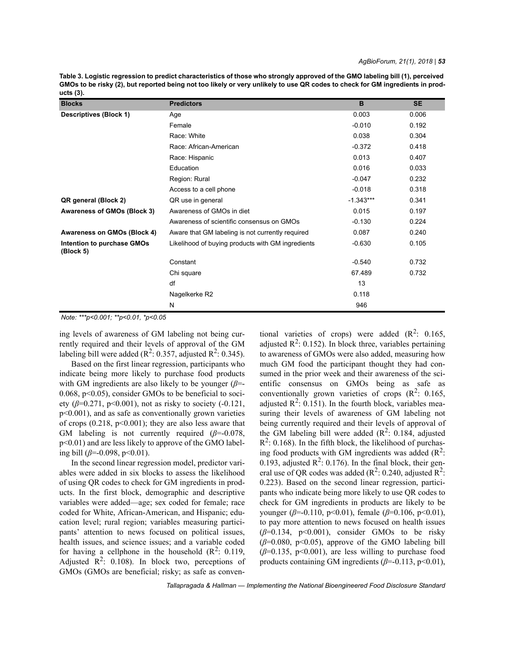**Table 3. Logistic regression to predict characteristics of those who strongly approved of the GMO labeling bill (1), perceived GMOs to be risky (2), but reported being not too likely or very unlikely to use QR codes to check for GM ingredients in products (3).**

| <b>Blocks</b>                           | <b>Predictors</b>                                 | B           | <b>SE</b> |
|-----------------------------------------|---------------------------------------------------|-------------|-----------|
| <b>Descriptives (Block 1)</b>           | Age                                               | 0.003       | 0.006     |
|                                         | Female                                            | $-0.010$    | 0.192     |
|                                         | Race: White                                       | 0.038       | 0.304     |
|                                         | Race: African-American                            | $-0.372$    | 0.418     |
|                                         | Race: Hispanic                                    | 0.013       | 0.407     |
|                                         | Education                                         | 0.016       | 0.033     |
|                                         | Region: Rural                                     | $-0.047$    | 0.232     |
|                                         | Access to a cell phone                            | $-0.018$    | 0.318     |
| QR general (Block 2)                    | QR use in general                                 | $-1.343***$ | 0.341     |
| <b>Awareness of GMOs (Block 3)</b>      | Awareness of GMOs in diet                         | 0.015       | 0.197     |
|                                         | Awareness of scientific consensus on GMOs         | $-0.130$    | 0.224     |
| Awareness on GMOs (Block 4)             | Aware that GM labeling is not currently required  | 0.087       | 0.240     |
| Intention to purchase GMOs<br>(Block 5) | Likelihood of buying products with GM ingredients | $-0.630$    | 0.105     |
|                                         | Constant                                          | $-0.540$    | 0.732     |
|                                         | Chi square                                        | 67.489      | 0.732     |
|                                         | df                                                | 13          |           |
|                                         | Nagelkerke R2                                     | 0.118       |           |
|                                         | N                                                 | 946         |           |

*Note: \*\*\*p<0.001; \*\*p<0.01, \*p<0.05*

ing levels of awareness of GM labeling not being currently required and their levels of approval of the GM labeling bill were added ( $\mathbb{R}^2$ : 0.357, adjusted  $\mathbb{R}^2$ : 0.345).

Based on the first linear regression, participants who indicate being more likely to purchase food products with GM ingredients are also likely to be younger (*β*=- 0.068,  $p<0.05$ ), consider GMOs to be beneficial to society ( $\beta$ =0.271, p<0.001), not as risky to society (-0.121, p<0.001), and as safe as conventionally grown varieties of crops  $(0.218, p<0.001)$ ; they are also less aware that GM labeling is not currently required (*β*=-0.078, p<0.01) and are less likely to approve of the GMO labeling bill (*β*=-0.098, p<0.01).

In the second linear regression model, predictor variables were added in six blocks to assess the likelihood of using QR codes to check for GM ingredients in products. In the first block, demographic and descriptive variables were added—age; sex coded for female; race coded for White, African-American, and Hispanic; education level; rural region; variables measuring participants' attention to news focused on political issues, health issues, and science issues; and a variable coded for having a cellphone in the household  $(R^2: 0.119)$ , Adjusted  $\mathbb{R}^2$ : 0.108). In block two, perceptions of GMOs (GMOs are beneficial; risky; as safe as conven-

tional varieties of crops) were added  $(R^2: 0.165)$ adjusted  $\mathbb{R}^2$ : 0.152). In block three, variables pertaining to awareness of GMOs were also added, measuring how much GM food the participant thought they had consumed in the prior week and their awareness of the scientific consensus on GMOs being as safe as conventionally grown varieties of crops  $(R^2: 0.165)$ , adjusted  $\mathbb{R}^2$ : 0.151). In the fourth block, variables measuring their levels of awareness of GM labeling not being currently required and their levels of approval of the GM labeling bill were added  $(R^2: 0.184,$  adjusted  $R^2$ : 0.168). In the fifth block, the likelihood of purchasing food products with GM ingredients was added  $(R^2)$ : 0.193, adjusted  $\mathbb{R}^2$ : 0.176). In the final block, their general use of QR codes was added  $(R^2: 0.240$ , adjusted  $R^2$ : 0.223). Based on the second linear regression, participants who indicate being more likely to use QR codes to check for GM ingredients in products are likely to be younger (*β*=-0.110, p<0.01), female (*β*=0.106, p<0.01), to pay more attention to news focused on health issues  $(\beta=0.134, p<0.001)$ , consider GMOs to be risky  $(\beta=0.080, p<0.05)$ , approve of the GMO labeling bill  $(\beta=0.135, p<0.001)$ , are less willing to purchase food products containing GM ingredients (*β*=-0.113, p<0.01),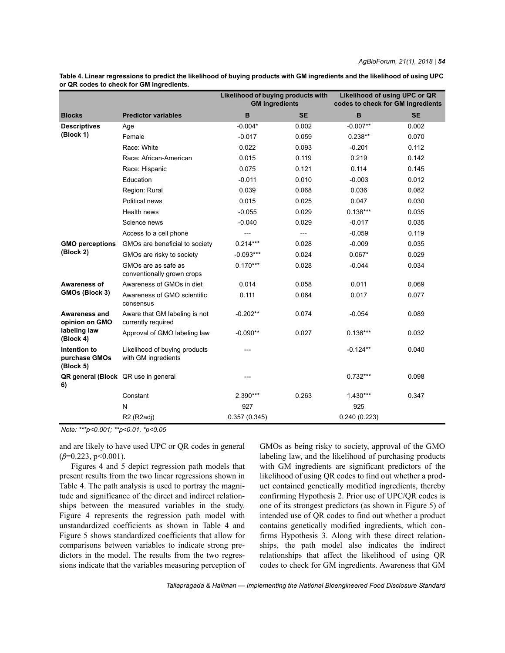|                                                              |                                                      | Likelihood of buying products with<br><b>GM</b> ingredients |           | Likelihood of using UPC or QR<br>codes to check for GM ingredients |           |
|--------------------------------------------------------------|------------------------------------------------------|-------------------------------------------------------------|-----------|--------------------------------------------------------------------|-----------|
| <b>Blocks</b>                                                | <b>Predictor variables</b>                           | B                                                           | <b>SE</b> | B                                                                  | <b>SE</b> |
| <b>Descriptives</b><br>(Block 1)                             | Age                                                  | $-0.004*$                                                   | 0.002     | $-0.007**$                                                         | 0.002     |
|                                                              | Female                                               | $-0.017$                                                    | 0.059     | $0.238**$                                                          | 0.070     |
|                                                              | Race: White                                          | 0.022                                                       | 0.093     | $-0.201$                                                           | 0.112     |
|                                                              | Race: African-American                               | 0.015                                                       | 0.119     | 0.219                                                              | 0.142     |
|                                                              | Race: Hispanic                                       | 0.075                                                       | 0.121     | 0.114                                                              | 0.145     |
|                                                              | Education                                            | $-0.011$                                                    | 0.010     | $-0.003$                                                           | 0.012     |
|                                                              | Region: Rural                                        | 0.039                                                       | 0.068     | 0.036                                                              | 0.082     |
|                                                              | Political news                                       | 0.015                                                       | 0.025     | 0.047                                                              | 0.030     |
|                                                              | Health news                                          | $-0.055$                                                    | 0.029     | $0.138***$                                                         | 0.035     |
|                                                              | Science news                                         | $-0.040$                                                    | 0.029     | $-0.017$                                                           | 0.035     |
|                                                              | Access to a cell phone                               | ---                                                         | ---       | $-0.059$                                                           | 0.119     |
| <b>GMO</b> perceptions<br>(Block 2)                          | GMOs are beneficial to society                       | $0.214***$                                                  | 0.028     | $-0.009$                                                           | 0.035     |
|                                                              | GMOs are risky to society                            | $-0.093***$                                                 | 0.024     | $0.067*$                                                           | 0.029     |
|                                                              | GMOs are as safe as<br>conventionally grown crops    | $0.170***$                                                  | 0.028     | $-0.044$                                                           | 0.034     |
| Awareness of<br>GMOs (Block 3)                               | Awareness of GMOs in diet                            | 0.014                                                       | 0.058     | 0.011                                                              | 0.069     |
|                                                              | Awareness of GMO scientific<br>consensus             | 0.111                                                       | 0.064     | 0.017                                                              | 0.077     |
| Awareness and<br>opinion on GMO<br>labeling law<br>(Block 4) | Aware that GM labeling is not<br>currently required  | $-0.202**$                                                  | 0.074     | $-0.054$                                                           | 0.089     |
|                                                              | Approval of GMO labeling law                         | $-0.090**$                                                  | 0.027     | $0.136***$                                                         | 0.032     |
| Intention to<br>purchase GMOs<br>(Block 5)                   | Likelihood of buying products<br>with GM ingredients |                                                             |           | $-0.124**$                                                         | 0.040     |
| QR general (Block QR use in general<br>6)                    |                                                      |                                                             |           | $0.732***$                                                         | 0.098     |
|                                                              | Constant                                             | 2.390***                                                    | 0.263     | $1.430***$                                                         | 0.347     |
|                                                              | $\mathsf{N}$                                         | 927                                                         |           | 925                                                                |           |
|                                                              | R <sub>2</sub> (R <sub>2</sub> adj)                  | 0.357(0.345)                                                |           | 0.240(0.223)                                                       |           |

**Table 4. Linear regressions to predict the likelihood of buying products with GM ingredients and the likelihood of using UPC or QR codes to check for GM ingredients.**

*Note: \*\*\*p<0.001; \*\*p<0.01, \*p<0.05*

and are likely to have used UPC or QR codes in general (*β*=0.223, p<0.001).

Figures 4 and 5 depict regression path models that present results from the two linear regressions shown in Table 4. The path analysis is used to portray the magnitude and significance of the direct and indirect relationships between the measured variables in the study. Figure 4 represents the regression path model with unstandardized coefficients as shown in Table 4 and Figure 5 shows standardized coefficients that allow for comparisons between variables to indicate strong predictors in the model. The results from the two regressions indicate that the variables measuring perception of GMOs as being risky to society, approval of the GMO labeling law, and the likelihood of purchasing products with GM ingredients are significant predictors of the likelihood of using QR codes to find out whether a product contained genetically modified ingredients, thereby confirming Hypothesis 2. Prior use of UPC/QR codes is one of its strongest predictors (as shown in Figure 5) of intended use of QR codes to find out whether a product contains genetically modified ingredients, which confirms Hypothesis 3. Along with these direct relationships, the path model also indicates the indirect relationships that affect the likelihood of using QR codes to check for GM ingredients. Awareness that GM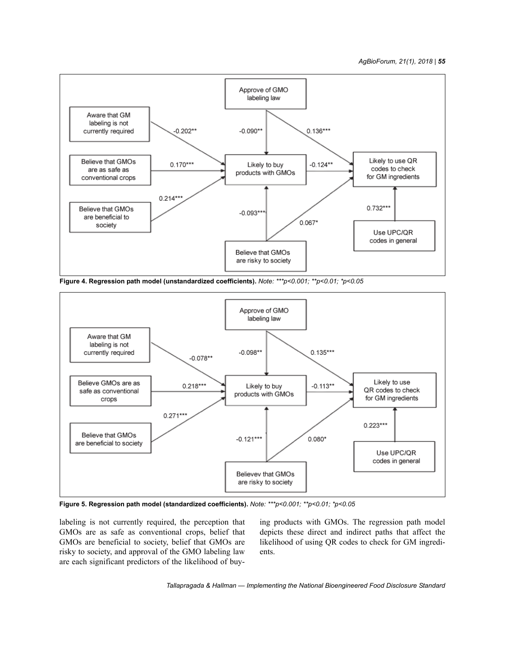*AgBioForum, 21(1), 2018 | 55*



**Figure 4. Regression path model (unstandardized coefficients).** *Note: \*\*\*p<0.001; \*\*p<0.01; \*p<0.05*



**Figure 5. Regression path model (standardized coefficients).** *Note: \*\*\*p<0.001; \*\*p<0.01; \*p<0.05*

labeling is not currently required, the perception that GMOs are as safe as conventional crops, belief that GMOs are beneficial to society, belief that GMOs are risky to society, and approval of the GMO labeling law are each significant predictors of the likelihood of buying products with GMOs. The regression path model depicts these direct and indirect paths that affect the likelihood of using QR codes to check for GM ingredients.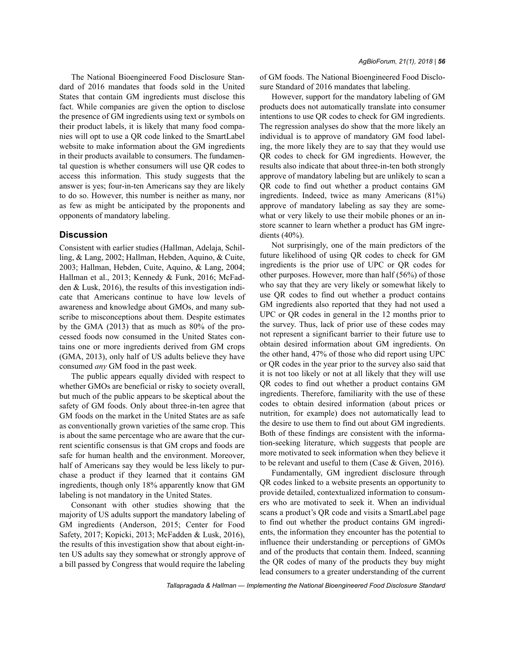The National Bioengineered Food Disclosure Standard of 2016 mandates that foods sold in the United States that contain GM ingredients must disclose this fact. While companies are given the option to disclose the presence of GM ingredients using text or symbols on their product labels, it is likely that many food companies will opt to use a QR code linked to the SmartLabel website to make information about the GM ingredients in their products available to consumers. The fundamental question is whether consumers will use QR codes to access this information. This study suggests that the answer is yes; four-in-ten Americans say they are likely to do so. However, this number is neither as many, nor as few as might be anticipated by the proponents and opponents of mandatory labeling.

## **Discussion**

Consistent with earlier studies (Hallman, Adelaja, Schilling, & Lang, 2002; Hallman, Hebden, Aquino, & Cuite, 2003; Hallman, Hebden, Cuite, Aquino, & Lang, 2004; Hallman et al., 2013; Kennedy & Funk, 2016; McFadden & Lusk, 2016), the results of this investigation indicate that Americans continue to have low levels of awareness and knowledge about GMOs, and many subscribe to misconceptions about them. Despite estimates by the GMA (2013) that as much as 80% of the processed foods now consumed in the United States contains one or more ingredients derived from GM crops (GMA, 2013), only half of US adults believe they have consumed *any* GM food in the past week.

The public appears equally divided with respect to whether GMOs are beneficial or risky to society overall, but much of the public appears to be skeptical about the safety of GM foods. Only about three-in-ten agree that GM foods on the market in the United States are as safe as conventionally grown varieties of the same crop. This is about the same percentage who are aware that the current scientific consensus is that GM crops and foods are safe for human health and the environment. Moreover, half of Americans say they would be less likely to purchase a product if they learned that it contains GM ingredients, though only 18% apparently know that GM labeling is not mandatory in the United States.

Consonant with other studies showing that the majority of US adults support the mandatory labeling of GM ingredients (Anderson, 2015; Center for Food Safety, 2017; Kopicki, 2013; McFadden & Lusk, 2016), the results of this investigation show that about eight-inten US adults say they somewhat or strongly approve of a bill passed by Congress that would require the labeling of GM foods. The National Bioengineered Food Disclosure Standard of 2016 mandates that labeling.

However, support for the mandatory labeling of GM products does not automatically translate into consumer intentions to use QR codes to check for GM ingredients. The regression analyses do show that the more likely an individual is to approve of mandatory GM food labeling, the more likely they are to say that they would use QR codes to check for GM ingredients. However, the results also indicate that about three-in-ten both strongly approve of mandatory labeling but are unlikely to scan a QR code to find out whether a product contains GM ingredients. Indeed, twice as many Americans (81%) approve of mandatory labeling as say they are somewhat or very likely to use their mobile phones or an instore scanner to learn whether a product has GM ingredients (40%).

Not surprisingly, one of the main predictors of the future likelihood of using QR codes to check for GM ingredients is the prior use of UPC or QR codes for other purposes. However, more than half (56%) of those who say that they are very likely or somewhat likely to use QR codes to find out whether a product contains GM ingredients also reported that they had not used a UPC or QR codes in general in the 12 months prior to the survey. Thus, lack of prior use of these codes may not represent a significant barrier to their future use to obtain desired information about GM ingredients. On the other hand, 47% of those who did report using UPC or QR codes in the year prior to the survey also said that it is not too likely or not at all likely that they will use QR codes to find out whether a product contains GM ingredients. Therefore, familiarity with the use of these codes to obtain desired information (about prices or nutrition, for example) does not automatically lead to the desire to use them to find out about GM ingredients. Both of these findings are consistent with the information-seeking literature, which suggests that people are more motivated to seek information when they believe it to be relevant and useful to them (Case & Given, 2016).

Fundamentally, GM ingredient disclosure through QR codes linked to a website presents an opportunity to provide detailed, contextualized information to consumers who are motivated to seek it. When an individual scans a product's QR code and visits a SmartLabel page to find out whether the product contains GM ingredients, the information they encounter has the potential to influence their understanding or perceptions of GMOs and of the products that contain them. Indeed, scanning the QR codes of many of the products they buy might lead consumers to a greater understanding of the current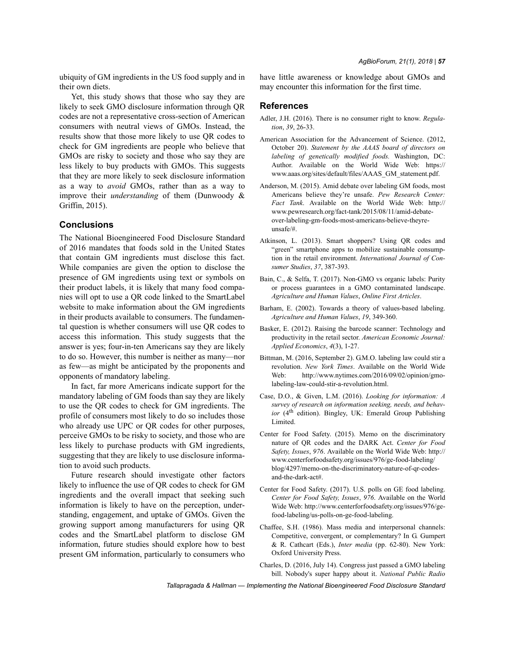ubiquity of GM ingredients in the US food supply and in their own diets.

Yet, this study shows that those who say they are likely to seek GMO disclosure information through QR codes are not a representative cross-section of American consumers with neutral views of GMOs. Instead, the results show that those more likely to use QR codes to check for GM ingredients are people who believe that GMOs are risky to society and those who say they are less likely to buy products with GMOs. This suggests that they are more likely to seek disclosure information as a way to *avoid* GMOs, rather than as a way to improve their *understanding* of them (Dunwoody & Griffin, 2015).

## **Conclusions**

The National Bioengineered Food Disclosure Standard of 2016 mandates that foods sold in the United States that contain GM ingredients must disclose this fact. While companies are given the option to disclose the presence of GM ingredients using text or symbols on their product labels, it is likely that many food companies will opt to use a QR code linked to the SmartLabel website to make information about the GM ingredients in their products available to consumers. The fundamental question is whether consumers will use QR codes to access this information. This study suggests that the answer is yes; four-in-ten Americans say they are likely to do so. However, this number is neither as many—nor as few—as might be anticipated by the proponents and opponents of mandatory labeling.

In fact, far more Americans indicate support for the mandatory labeling of GM foods than say they are likely to use the QR codes to check for GM ingredients. The profile of consumers most likely to do so includes those who already use UPC or QR codes for other purposes, perceive GMOs to be risky to society, and those who are less likely to purchase products with GM ingredients, suggesting that they are likely to use disclosure information to avoid such products.

Future research should investigate other factors likely to influence the use of QR codes to check for GM ingredients and the overall impact that seeking such information is likely to have on the perception, understanding, engagement, and uptake of GMOs. Given the growing support among manufacturers for using QR codes and the SmartLabel platform to disclose GM information, future studies should explore how to best present GM information, particularly to consumers who have little awareness or knowledge about GMOs and may encounter this information for the first time.

## **References**

- Adler, J.H. (2016). There is no consumer right to know. *Regulation*, *39*, 26-33.
- American Association for the Advancement of Science. (2012, October 20). *Statement by the AAAS board of directors on labeling of genetically modified foods.* Washington, DC: Author. Available on the World Wide Web: https:// www.aaas.org/sites/default/files/AAAS\_GM\_statement.pdf.
- Anderson, M. (2015). Amid debate over labeling GM foods, most Americans believe they're unsafe. *Pew Research Center: Fact Tank*. Available on the World Wide Web: http:// www.pewresearch.org/fact-tank/2015/08/11/amid-debateover-labeling-gm-foods-most-americans-believe-theyreunsafe/#.
- Atkinson, L. (2013). Smart shoppers? Using QR codes and "green" smartphone apps to mobilize sustainable consumption in the retail environment. *International Journal of Consumer Studies*, *37*, 387-393.
- Bain, C., & Selfa, T. (2017). Non-GMO vs organic labels: Purity or process guarantees in a GMO contaminated landscape. *Agriculture and Human Values*, *Online First Articles*.
- Barham, E. (2002). Towards a theory of values-based labeling. *Agriculture and Human Values*, *19*, 349-360.
- Basker, E. (2012). Raising the barcode scanner: Technology and productivity in the retail sector. *American Economic Journal: Applied Economics*, *4*(3), 1-27.
- Bittman, M. (2016, September 2). G.M.O. labeling law could stir a revolution. *New York Times*. Available on the World Wide Web: http://www.nytimes.com/2016/09/02/opinion/gmolabeling-law-could-stir-a-revolution.html.
- Case, D.O., & Given, L.M. (2016). *Looking for information: A survey of research on information seeking, needs, and behavior* (4<sup>th</sup> edition). Bingley, UK: Emerald Group Publishing Limited.
- Center for Food Safety. (2015). Memo on the discriminatory nature of QR codes and the DARK Act. *Center for Food Safety, Issues*, *976*. Available on the World Wide Web: http:// www.centerforfoodsafety.org/issues/976/ge-food-labeling/ blog/4297/memo-on-the-discriminatory-nature-of-qr-codesand-the-dark-act#.
- Center for Food Safety. (2017). U.S. polls on GE food labeling. *Center for Food Safety, Issues*, *976*. Available on the World Wide Web: http://www.centerforfoodsafety.org/issues/976/gefood-labeling/us-polls-on-ge-food-labeling.
- Chaffee, S.H. (1986). Mass media and interpersonal channels: Competitive, convergent, or complementary? In G. Gumpert & R. Cathcart (Eds.), *Inter media* (pp. 62-80). New York: Oxford University Press.
- Charles, D. (2016, July 14). Congress just passed a GMO labeling bill. Nobody's super happy about it. *National Public Radio*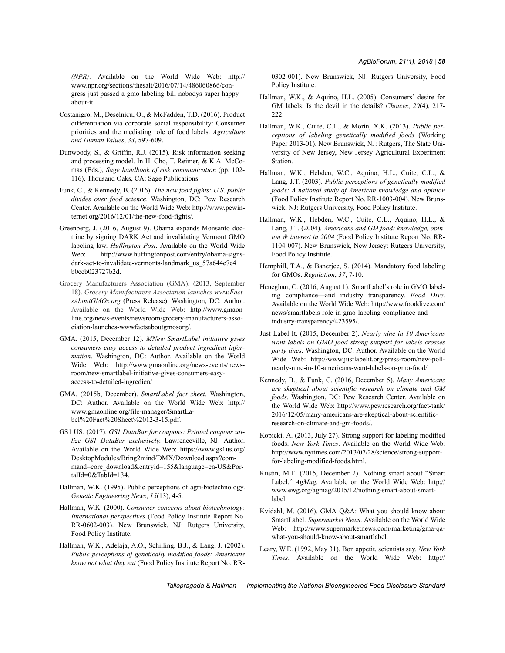*(NPR)*. Available on the World Wide Web: http:// www.npr.org/sections/thesalt/2016/07/14/486060866/congress-just-passed-a-gmo-labeling-bill-nobodys-super-happyabout-it.

- Costanigro, M., Deselnicu, O., & McFadden, T.D. (2016). Product differentiation via corporate social responsibility: Consumer priorities and the mediating role of food labels. *Agriculture and Human Values*, *33*, 597-609.
- Dunwoody, S., & Griffin, R.J. (2015). Risk information seeking and processing model. In H. Cho, T. Reimer, & K.A. McComas (Eds.), *Sage handbook of risk communication* (pp. 102- 116). Thousand Oaks, CA: Sage Publications.
- Funk, C., & Kennedy, B. (2016). *The new food fights: U.S. public divides over food science*. Washington, DC: Pew Research Center. Available on the World Wide Web: http://www.pewinternet.org/2016/12/01/the-new-food-fights/.
- Greenberg, J. (2016, August 9). Obama expands Monsanto doctrine by signing DARK Act and invalidating Vermont GMO labeling law. *Huffington Post*. Available on the World Wide Web: http://www.huffingtonpost.com/entry/obama-signsdark-act-to-invalidate-vermonts-landmark\_us\_57a644c7e4 b0ccb023727b2d.
- Grocery Manufacturers Association (GMA). (2013, September 18). *Grocery Manufacturers Association launches www.FactsAboutGMOs.org* (Press Release). Washington, DC: Author. Available on the World Wide Web: http://www.gmaonline.org/news-events/newsroom/grocery-manufacturers-association-launches-wwwfactsaboutgmosorg/.
- GMA. (2015, December 12). *MNew SmartLabel initiative gives consumers easy access to detailed product ingredient information*. Washington, DC: Author. Available on the World Wide Web: http://www.gmaonline.org/news-events/newsroom/new-smartlabel-initiative-gives-consumers-easyaccess-to-detailed-ingredien/
- GMA. (2015b, December). *SmartLabel fact sheet*. Washington, DC: Author. Available on the World Wide Web: http:// www.gmaonline.org/file-manager/SmartLabel%20Fact%20Sheet%2012-3-15.pdf.
- GS1 US. (2017). *GS1 DataBar for coupons: Printed coupons utilize GS1 DataBar exclusively*. Lawrenceville, NJ: Author. Available on the World Wide Web: https://www.gs1us.org/ DesktopModules/Bring2mind/DMX/Download.aspx?command=core\_download&entryid=155&language=en-US&PortalId=0&TabId=134.
- Hallman, W.K. (1995). Public perceptions of agri-biotechnology. *Genetic Engineering News*, *15*(13), 4-5.
- Hallman, W.K. (2000). *Consumer concerns about biotechnology: International perspectives* (Food Policy Institute Report No. RR-0602-003). New Brunswick, NJ: Rutgers University, Food Policy Institute.
- Hallman, W.K., Adelaja, A.O., Schilling, B.J., & Lang, J. (2002). *Public perceptions of genetically modified foods: Americans know not what they eat* (Food Policy Institute Report No. RR-

0302-001). New Brunswick, NJ: Rutgers University, Food Policy Institute.

- Hallman, W.K., & Aquino, H.L. (2005). Consumers' desire for GM labels: Is the devil in the details? *Choices*, *20*(4), 217- 222.
- Hallman, W.K., Cuite, C.L., & Morin, X.K. (2013). *Public perceptions of labeling genetically modified foods* (Working Paper 2013-01). New Brunswick, NJ: Rutgers, The State University of New Jersey, New Jersey Agricultural Experiment Station.
- Hallman, W.K., Hebden, W.C., Aquino, H.L., Cuite, C.L., & Lang, J.T. (2003). *Public perceptions of genetically modified foods: A national study of American knowledge and opinion* (Food Policy Institute Report No. RR-1003-004). New Brunswick, NJ: Rutgers University, Food Policy Institute.
- Hallman, W.K., Hebden, W.C., Cuite, C.L., Aquino, H.L., & Lang, J.T. (2004). *Americans and GM food: knowledge, opinion & interest in 2004* (Food Policy Institute Report No. RR-1104-007). New Brunswick, New Jersey: Rutgers University, Food Policy Institute.
- Hemphill, T.A., & Banerjee, S. (2014). Mandatory food labeling for GMOs. *Regulation*, *37*, 7-10.
- Heneghan, C. (2016, August 1). SmartLabel's role in GMO labeling compliance—and industry transparency. *Food Dive*. Available on the World Wide Web: http://www.fooddive.com/ news/smartlabels-role-in-gmo-labeling-compliance-andindustry-transparency/423595/.
- Just Label It. (2015, December 2). *Nearly nine in 10 Americans want labels on GMO food strong support for labels crosses party lines*. Washington, DC: Author. Available on the World Wide Web: http://www.justlabelit.org/press-room/new-pollnearly-nine-in-10-americans-want-labels-on-gmo-food/.
- Kennedy, B., & Funk, C. (2016, December 5). *Many Americans are skeptical about scientific research on climate and GM foods*. Washington, DC: Pew Research Center. Available on the World Wide Web: http://www.pewresearch.org/fact-tank/ 2016/12/05/many-americans-are-skeptical-about-scientificresearch-on-climate-and-gm-foods/.
- Kopicki, A. (2013, July 27). Strong support for labeling modified foods. *New York Times*. Available on the World Wide Web: http://www.nytimes.com/2013/07/28/science/strong-supportfor-labeling-modified-foods.html.
- Kustin, M.E. (2015, December 2). Nothing smart about "Smart Label." *AgMag*. Available on the World Wide Web: http:// www.ewg.org/agmag/2015/12/nothing-smart-about-smartlabel.
- Kvidahl, M. (2016). GMA Q&A: What you should know about SmartLabel. *Supermarket News*. Available on the World Wide Web: http://www.supermarketnews.com/marketing/gma-qawhat-you-should-know-about-smartlabel.
- Leary, W.E. (1992, May 31). Bon appetit, scientists say. *New York Times*. Available on the World Wide Web: http://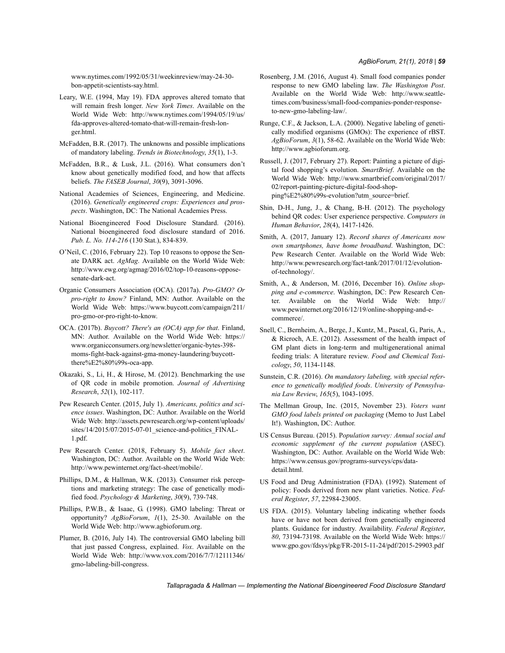www.nytimes.com/1992/05/31/weekinreview/may-24-30 bon-appetit-scientists-say.html.

- Leary, W.E. (1994, May 19). FDA approves altered tomato that will remain fresh longer. *New York Times*. Available on the World Wide Web: http://www.nytimes.com/1994/05/19/us/ fda-approves-altered-tomato-that-will-remain-fresh-longer.html.
- McFadden, B.R. (2017). The unknowns and possible implications of mandatory labeling. *Trends in Biotechnology*, *35*(1), 1-3.
- McFadden, B.R., & Lusk, J.L. (2016). What consumers don't know about genetically modified food, and how that affects beliefs. *The FASEB Journal*, *30*(9), 3091-3096.
- National Academies of Sciences, Engineering, and Medicine. (2016). *Genetically engineered crops: Experiences and prospects*. Washington, DC: The National Academies Press.
- National Bioengineered Food Disclosure Standard. (2016). National bioengineered food disclosure standard of 2016. *Pub. L. No. 114-216* (130 Stat.), 834-839.
- O'Neil, C. (2016, February 22). Top 10 reasons to oppose the Senate DARK act. *AgMag*. Available on the World Wide Web: http://www.ewg.org/agmag/2016/02/top-10-reasons-opposesenate-dark-act.
- Organic Consumers Association (OCA). (2017a). *Pro-GMO? Or pro-right to know?* Finland, MN: Author. Available on the World Wide Web: https://www.buycott.com/campaign/211/ pro-gmo-or-pro-right-to-know.
- OCA. (2017b). *Buycott? There's an (OCA) app for that*. Finland, MN: Author. Available on the World Wide Web: https:// www.organicconsumers.org/newsletter/organic-bytes-398 moms-fight-back-against-gma-money-laundering/buycottthere%E2%80%99s-oca-app.
- Okazaki, S., Li, H., & Hirose, M. (2012). Benchmarking the use of QR code in mobile promotion. *Journal of Advertising Research*, *52*(1), 102-117.
- Pew Research Center. (2015, July 1). *Americans, politics and science issues*. Washington, DC: Author. Available on the World Wide Web: http://assets.pewresearch.org/wp-content/uploads/ sites/14/2015/07/2015-07-01\_science-and-politics\_FINAL-1.pdf.
- Pew Research Center. (2018, February 5). *Mobile fact sheet*. Washington, DC: Author. Available on the World Wide Web: http://www.pewinternet.org/fact-sheet/mobile/.
- Phillips, D.M., & Hallman, W.K. (2013). Consumer risk perceptions and marketing strategy: The case of genetically modified food. *Psychology & Marketing*, *30*(9), 739-748.
- Phillips, P.W.B., & Isaac, G. (1998). GMO labeling: Threat or opportunity? *AgBioForum*, *1*(1), 25-30. Available on the World Wide Web: http://www.agbioforum.org.
- Plumer, B. (2016, July 14). The controversial GMO labeling bill that just passed Congress, explained. *Vox*. Available on the World Wide Web: http://www.vox.com/2016/7/7/12111346/ gmo-labeling-bill-congress.
- Rosenberg, J.M. (2016, August 4). Small food companies ponder response to new GMO labeling law. *The Washington Post*. Available on the World Wide Web: http://www.seattletimes.com/business/small-food-companies-ponder-responseto-new-gmo-labeling-law/.
- Runge, C.F., & Jackson, L.A. (2000). Negative labeling of genetically modified organisms (GMOs): The experience of rBST. *AgBioForum*, *3*(1), 58-62. Available on the World Wide Web: http://www.agbioforum.org.
- Russell, J. (2017, February 27). Report: Painting a picture of digital food shopping's evolution. *SmartBrief*. Available on the World Wide Web: http://www.smartbrief.com/original/2017/ 02/report-painting-picture-digital-food-shopping%E2%80%99s-evolution?utm\_source=brief.
- Shin, D-H., Jung, J., & Chang, B-H. (2012). The psychology behind QR codes: User experience perspective. *Computers in Human Behavior*, *28*(4), 1417-1426.
- Smith, A. (2017, January 12). *Record shares of Americans now own smartphones, have home broadband*. Washington, DC: Pew Research Center. Available on the World Wide Web: http://www.pewresearch.org/fact-tank/2017/01/12/evolutionof-technology/.
- Smith, A., & Anderson, M. (2016, December 16). *Online shopping and e-commerce*. Washington, DC: Pew Research Center. Available on the World Wide Web: http:// www.pewinternet.org/2016/12/19/online-shopping-and-ecommerce/.
- Snell, C., Bernheim, A., Berge, J., Kuntz, M., Pascal, G., Paris, A., & Ricroch, A.E. (2012). Assessment of the health impact of GM plant diets in long-term and multigenerational animal feeding trials: A literature review. *Food and Chemical Toxicology*, *50*, 1134-1148.
- Sunstein, C.R. (2016). *On mandatory labeling, with special reference to genetically modified foods*. *University of Pennsylvania Law Review*, *165*(5), 1043-1095.
- The Mellman Group, Inc. (2015, November 23). *Voters want GMO food labels printed on packaging* (Memo to Just Label It!). Washington, DC: Author.
- US Census Bureau. (2015). P*opulation survey: Annual social and economic supplement of the current population* (ASEC). Washington, DC: Author. Available on the World Wide Web: https://www.census.gov/programs-surveys/cps/datadetail.html.
- US Food and Drug Administration (FDA). (1992). Statement of policy: Foods derived from new plant varieties. Notice. *Federal Register*, *57*, 22984-23005.
- US FDA. (2015). Voluntary labeling indicating whether foods have or have not been derived from genetically engineered plants. Guidance for industry. Availability. *Federal Register*, *80*, 73194-73198. Available on the World Wide Web: https:// www.gpo.gov/fdsys/pkg/FR-2015-11-24/pdf/2015-29903.pdf